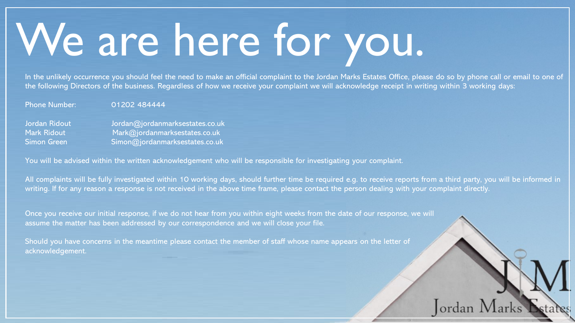## We are here for you.

In the unlikely occurrence you should feel the need to make an official complaint to the Jordan Marks Estates Office, please do so by phone call or email to one of the following Directors of the business. Regardless of how we receive your complaint we will acknowledge receipt in writing within 3 working days:

Phone Number: 01202 484444

Jordan Ridout Jordan@jordanmarksestates.co.uk Mark Ridout Mark@jordanmarksestates.co.uk Simon Green Simon@jordanmarksestates.co.uk

You will be advised within the written acknowledgement who will be responsible for investigating your complaint.

All complaints will be fully investigated within 10 working days, should further time be required e.g. to receive reports from a third party, you will be informed in writing. If for any reason a response is not received in the above time frame, please contact the person dealing with your complaint directly.

Jordan N

Once you receive our initial response, if we do not hear from you within eight weeks from the date of our response, we will assume the matter has been addressed by our correspondence and we will close your file.

Should you have concerns in the meantime please contact the member of staff whose name appears on the letter of acknowledgement.